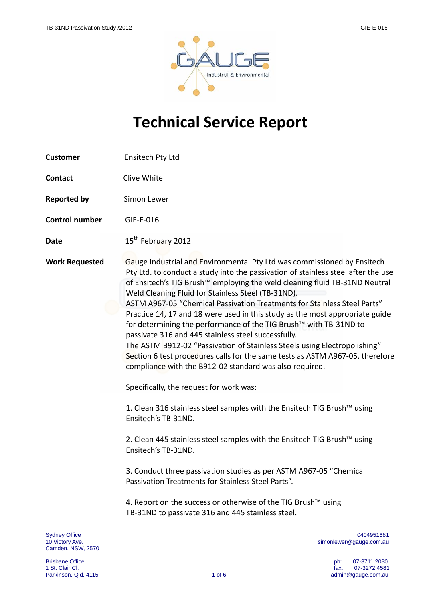

# **Technical Service Report**

| <b>Customer</b>       | <b>Ensitech Pty Ltd</b>                                                                                                                                                                                                                                                                                                                                                                                                                                                                                                                                                                                                                                                                                                                                                                                                                                                                                                                                                                                                                                                                                                                                                                                                                                                                                            |
|-----------------------|--------------------------------------------------------------------------------------------------------------------------------------------------------------------------------------------------------------------------------------------------------------------------------------------------------------------------------------------------------------------------------------------------------------------------------------------------------------------------------------------------------------------------------------------------------------------------------------------------------------------------------------------------------------------------------------------------------------------------------------------------------------------------------------------------------------------------------------------------------------------------------------------------------------------------------------------------------------------------------------------------------------------------------------------------------------------------------------------------------------------------------------------------------------------------------------------------------------------------------------------------------------------------------------------------------------------|
| <b>Contact</b>        | Clive White                                                                                                                                                                                                                                                                                                                                                                                                                                                                                                                                                                                                                                                                                                                                                                                                                                                                                                                                                                                                                                                                                                                                                                                                                                                                                                        |
| <b>Reported by</b>    | Simon Lewer                                                                                                                                                                                                                                                                                                                                                                                                                                                                                                                                                                                                                                                                                                                                                                                                                                                                                                                                                                                                                                                                                                                                                                                                                                                                                                        |
| <b>Control number</b> | GIE-E-016                                                                                                                                                                                                                                                                                                                                                                                                                                                                                                                                                                                                                                                                                                                                                                                                                                                                                                                                                                                                                                                                                                                                                                                                                                                                                                          |
| <b>Date</b>           | 15 <sup>th</sup> February 2012                                                                                                                                                                                                                                                                                                                                                                                                                                                                                                                                                                                                                                                                                                                                                                                                                                                                                                                                                                                                                                                                                                                                                                                                                                                                                     |
| <b>Work Requested</b> | Gauge Industrial and Environmental Pty Ltd was commissioned by Ensitech<br>Pty Ltd. to conduct a study into the passivation of stainless steel after the use<br>of Ensitech's TIG Brush™ employing the weld cleaning fluid TB-31ND Neutral<br>Weld Cleaning Fluid for Stainless Steel (TB-31ND).<br>ASTM A967-05 "Chemical Passivation Treatments for Stainless Steel Parts"<br>Practice 14, 17 and 18 were used in this study as the most appropriate guide<br>for determining the performance of the TIG Brush™ with TB-31ND to<br>passivate 316 and 445 stainless steel successfully.<br>The ASTM B912-02 "Passivation of Stainless Steels using Electropolishing"<br>Section 6 test procedures calls for the same tests as ASTM A967-05, therefore<br>compliance with the B912-02 standard was also required.<br>Specifically, the request for work was:<br>1. Clean 316 stainless steel samples with the Ensitech TIG Brush™ using<br>Ensitech's TB-31ND.<br>2. Clean 445 stainless steel samples with the Ensitech TIG Brush™ using<br>Ensitech's TB-31ND.<br>3. Conduct three passivation studies as per ASTM A967-05 "Chemical<br>Passivation Treatments for Stainless Steel Parts".<br>4. Report on the success or otherwise of the TIG Brush™ using<br>TB-31ND to passivate 316 and 445 stainless steel. |
| <b>Sydney Office</b>  | 0404951681                                                                                                                                                                                                                                                                                                                                                                                                                                                                                                                                                                                                                                                                                                                                                                                                                                                                                                                                                                                                                                                                                                                                                                                                                                                                                                         |

10 Victory Ave.<br>Camden, NSW, 2570

simonlewer@gauge.com.au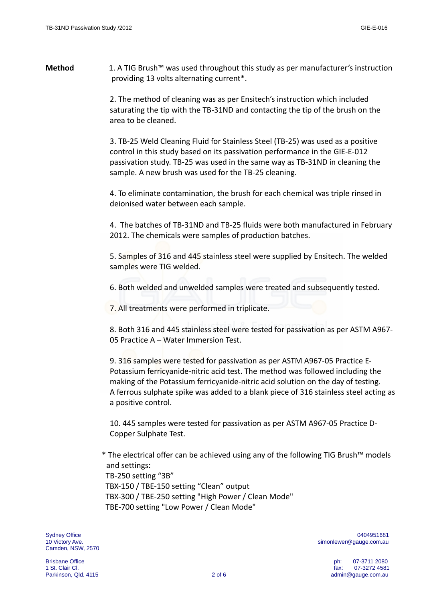**Method** 1. A TIG Brush™ was used throughout this study as per manufacturer's instruction providing 13 volts alternating current\*.

> 2. The method of cleaning was as per Ensitech's instruction which included saturating the tip with the TB‐31ND and contacting the tip of the brush on the area to be cleaned.

> 3. TB‐25 Weld Cleaning Fluid for Stainless Steel (TB‐25) was used as a positive control in this study based on its passivation performance in the GIE‐E‐012 passivation study. TB‐25 was used in the same way as TB‐31ND in cleaning the sample. A new brush was used for the TB‐25 cleaning.

> 4. To eliminate contamination, the brush for each chemical was triple rinsed in deionised water between each sample.

4. The batches of TB‐31ND and TB‐25 fluids were both manufactured in February 2012. The chemicals were samples of production batches.

5. Samples of 316 and 445 stainless steel were supplied by Ensitech. The welded samples were TIG welded.

6. Both welded and unwelded samples were treated and subsequently tested.

7. All treatments were performed in triplicate.

8. Both 316 and 445 stainless steel were tested for passivation as per ASTM A967‐ 05 Practice A – Water Immersion Test.

9. 316 samples were tested for passivation as per ASTM A967‐05 Practice E‐ Potassium ferricyanide‐nitric acid test. The method was followed including the making of the Potassium ferricyanide‐nitric acid solution on the day of testing. A ferrous sulphate spike was added to a blank piece of 316 stainless steel acting as a positive control.

10. 445 samples were tested for passivation as per ASTM A967‐05 Practice D‐ Copper Sulphate Test.

 \* The electrical offer can be achieved using any of the following TIG Brush™ models and settings: TB‐250 setting "3B" TBX‐150 / TBE‐150 setting "Clean" output TBX‐300 / TBE‐250 setting "High Power / Clean Mode" TBE‐700 setting "Low Power / Clean Mode"

Camden, NSW, 2570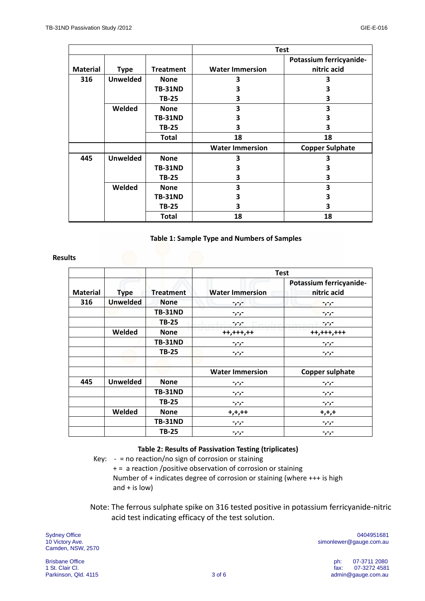|                 |                 |                  | <b>Test</b>            |                         |  |
|-----------------|-----------------|------------------|------------------------|-------------------------|--|
|                 |                 |                  |                        | Potassium ferricyanide- |  |
| <b>Material</b> | <b>Type</b>     | <b>Treatment</b> | <b>Water Immersion</b> | nitric acid             |  |
| 316             | <b>Unwelded</b> | <b>None</b>      | 3                      | 3                       |  |
|                 |                 | <b>TB-31ND</b>   | 3                      | 3                       |  |
|                 |                 | <b>TB-25</b>     | 3                      | 3                       |  |
|                 | Welded          | <b>None</b>      | 3                      | 3                       |  |
|                 |                 | <b>TB-31ND</b>   | 3                      | 3                       |  |
|                 |                 | TB-25            | з                      | 3                       |  |
|                 |                 | <b>Total</b>     | 18                     | 18                      |  |
|                 |                 |                  | <b>Water Immersion</b> | <b>Copper Sulphate</b>  |  |
| 445             | <b>Unwelded</b> | <b>None</b>      | 3                      | 3                       |  |
|                 |                 | <b>TB-31ND</b>   | 3                      | 3                       |  |
|                 |                 | <b>TB-25</b>     | 3                      | 3                       |  |
|                 | Welded          | <b>None</b>      | 3                      | 3                       |  |
|                 |                 | <b>TB-31ND</b>   | 3                      | 3                       |  |
|                 |                 | <b>TB-25</b>     | 3                      | 3                       |  |
|                 |                 | Total            | 18                     | 18                      |  |

#### **Table 1: Sample Type and Numbers of Samples**

#### **Results**

|                 | <b>Type</b>     |                  | <b>Test</b>            |                                        |
|-----------------|-----------------|------------------|------------------------|----------------------------------------|
| <b>Material</b> |                 | <b>Treatment</b> | <b>Water Immersion</b> | Potassium ferricyanide-<br>nitric acid |
| 316             | <b>Unwelded</b> | <b>None</b>      | -1-1-                  | $\overline{a}$                         |
|                 |                 | <b>TB-31ND</b>   | $777 - 77$             | $-1 - 1 - 1 = 1$                       |
|                 |                 | <b>TB-25</b>     | コココ                    | $-1 - 1$                               |
|                 | Welded          | <b>None</b>      | $^{++,+++,++}$         | $+,+,+,+,+,$                           |
|                 |                 | <b>TB-31ND</b>   | ファッコ                   | ファファ                                   |
|                 |                 | <b>TB-25</b>     | $-1$                   | $-1$                                   |
|                 |                 |                  |                        |                                        |
|                 |                 |                  | <b>Water Immersion</b> | <b>Copper sulphate</b>                 |
| 445             | <b>Unwelded</b> | <b>None</b>      | $-1$                   | ファファ                                   |
|                 |                 | <b>TB-31ND</b>   | $777 - 77$             | -,-,-                                  |
|                 |                 | <b>TB-25</b>     | $777 - 100$            | -,-,-                                  |
|                 | Welded          | <b>None</b>      | $+,+,++$               | $+,+,+$                                |
|                 |                 | <b>TB-31ND</b>   | ファッコ                   | ファフ                                    |
|                 |                 | <b>TB-25</b>     | $777 - 100$            | -,-,-                                  |

#### **Table 2: Results of Passivation Testing (triplicates)**

Key:  $-$  = no reaction/no sign of corrosion or staining

 + = a reaction /positive observation of corrosion or staining Number of + indicates degree of corrosion or staining (where +++ is high and  $+$  is low)

 Note: The ferrous sulphate spike on 316 tested positive in potassium ferricyanide‐nitric acid test indicating efficacy of the test solution.

Camden, NSW, 2570

Sydney Office 0404951681 10 Victory Ave. **Simonlewer@gauge.com.au**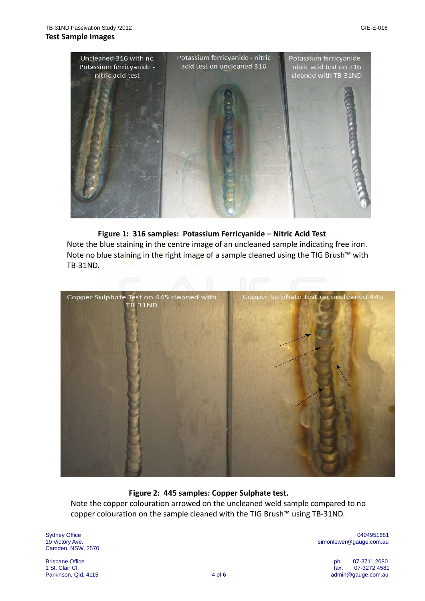

#### **Figure 1: 316 samples: Potassium Ferricyanide – Nitric Acid Test**

 Note the blue staining in the centre image of an uncleaned sample indicating free iron. Note no blue staining in the right image of a sample cleaned using the TIG Brush™ with TB‐31ND.



### **Figure 2: 445 samples: Copper Sulphate test.**

 Note the copper colouration arrowed on the uncleaned weld sample compared to no copper colouration on the sample cleaned with the TIG Brush™ using TB‐31ND.

Camden, NSW, 2570

Sydney Office 0404951681 10 Victory Ave. simonlewer@gauge.com.au

Brisbane Office ph: 07-3711 2080 1 St. Clair Cl. fax: 07-3272 4581 Parkinson, Qld. 4115 **and 1112** of 6 and 111 admin@gauge.com.au admin@gauge.com.au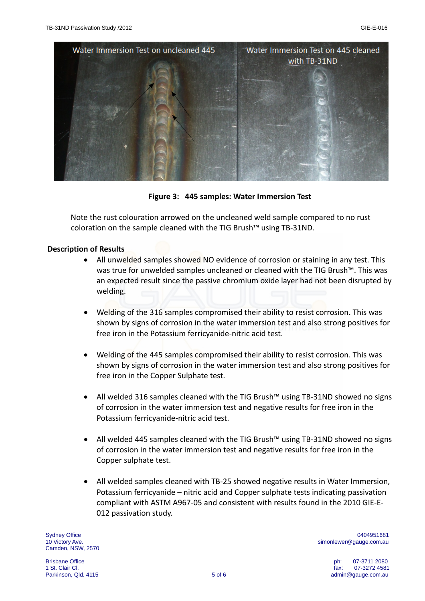

**Figure 3: 445 samples: Water Immersion Test**

 Note the rust colouration arrowed on the uncleaned weld sample compared to no rust coloration on the sample cleaned with the TIG Brush™ using TB‐31ND.

### **Description of Results**

- All unwelded samples showed NO evidence of corrosion or staining in any test. This was true for unwelded samples uncleaned or cleaned with the TIG Brush™. This was an expected result since the passive chromium oxide layer had not been disrupted by welding.
- Welding of the 316 samples compromised their ability to resist corrosion. This was shown by signs of corrosion in the water immersion test and also strong positives for free iron in the Potassium ferricyanide-nitric acid test.
- Welding of the 445 samples compromised their ability to resist corrosion. This was shown by signs of corrosion in the water immersion test and also strong positives for free iron in the Copper Sulphate test.
- All welded 316 samples cleaned with the TIG Brush™ using TB‐31ND showed no signs of corrosion in the water immersion test and negative results for free iron in the Potassium ferricyanide‐nitric acid test.
- All welded 445 samples cleaned with the TIG Brush™ using TB‐31ND showed no signs of corrosion in the water immersion test and negative results for free iron in the Copper sulphate test.
- All welded samples cleaned with TB‐25 showed negative results in Water Immersion, Potassium ferricyanide – nitric acid and Copper sulphate tests indicating passivation compliant with ASTM A967‐05 and consistent with results found in the 2010 GIE‐E‐ 012 passivation study.

Camden, NSW, 2570